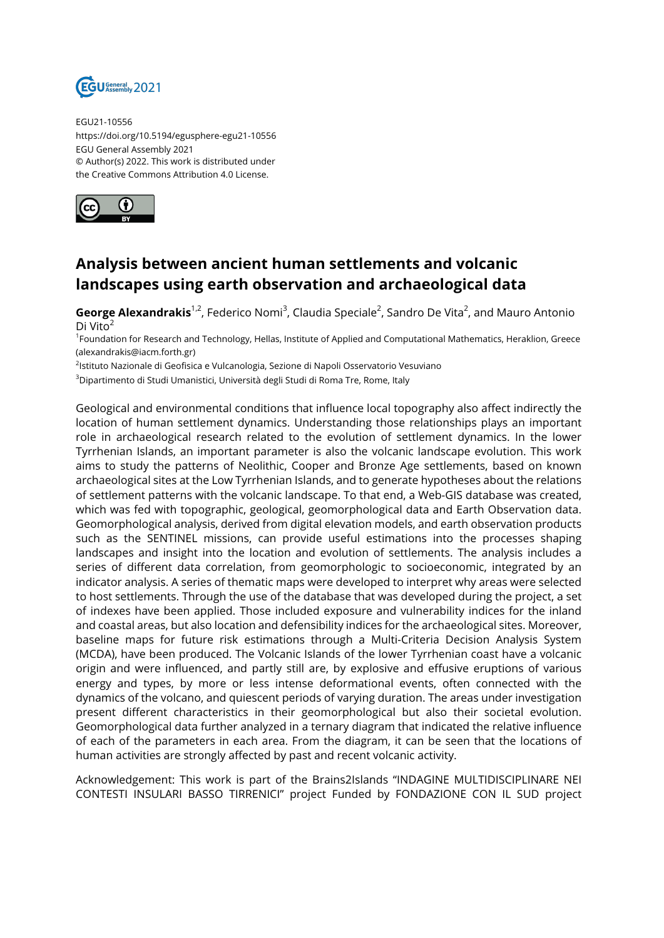

EGU21-10556 https://doi.org/10.5194/egusphere-egu21-10556 EGU General Assembly 2021 © Author(s) 2022. This work is distributed under the Creative Commons Attribution 4.0 License.



## **Analysis between ancient human settlements and volcanic landscapes using earth observation and archaeological data**

**George Alexandrakis**<sup>1,2</sup>, Federico Nomi<sup>3</sup>, Claudia Speciale<sup>2</sup>, Sandro De Vita<sup>2</sup>, and Mauro Antonio Di Vito<sup>2</sup>

<sup>1</sup>Foundation for Research and Technology, Hellas, Institute of Applied and Computational Mathematics, Heraklion, Greece (alexandrakis@iacm.forth.gr)

<sup>2</sup>lstituto Nazionale di Geofisica e Vulcanologia, Sezione di Napoli Osservatorio Vesuviano

<sup>3</sup>Dipartimento di Studi Umanistici, Università degli Studi di Roma Tre, Rome, Italy

Geological and environmental conditions that influence local topography also affect indirectly the location of human settlement dynamics. Understanding those relationships plays an important role in archaeological research related to the evolution of settlement dynamics. In the lower Tyrrhenian Islands, an important parameter is also the volcanic landscape evolution. This work aims to study the patterns of Neolithic, Cooper and Bronze Age settlements, based on known archaeological sites at the Low Tyrrhenian Islands, and to generate hypotheses about the relations of settlement patterns with the volcanic landscape. To that end, a Web-GIS database was created, which was fed with topographic, geological, geomorphological data and Earth Observation data. Geomorphological analysis, derived from digital elevation models, and earth observation products such as the SENTINEL missions, can provide useful estimations into the processes shaping landscapes and insight into the location and evolution of settlements. The analysis includes a series of different data correlation, from geomorphologic to socioeconomic, integrated by an indicator analysis. A series of thematic maps were developed to interpret why areas were selected to host settlements. Through the use of the database that was developed during the project, a set of indexes have been applied. Those included exposure and vulnerability indices for the inland and coastal areas, but also location and defensibility indices for the archaeological sites. Moreover, baseline maps for future risk estimations through a Multi-Criteria Decision Analysis System (MCDA), have been produced. The Volcanic Islands of the lower Tyrrhenian coast have a volcanic origin and were influenced, and partly still are, by explosive and effusive eruptions of various energy and types, by more or less intense deformational events, often connected with the dynamics of the volcano, and quiescent periods of varying duration. The areas under investigation present different characteristics in their geomorphological but also their societal evolution. Geomorphological data further analyzed in a ternary diagram that indicated the relative influence of each of the parameters in each area. From the diagram, it can be seen that the locations of human activities are strongly affected by past and recent volcanic activity.

Acknowledgement: This work is part of the Brains2Islands "INDAGINE MULTIDISCIPLINARE NEI CONTESTI INSULARI BASSO TIRRENICI" project Funded by FONDAZIONE CON IL SUD project